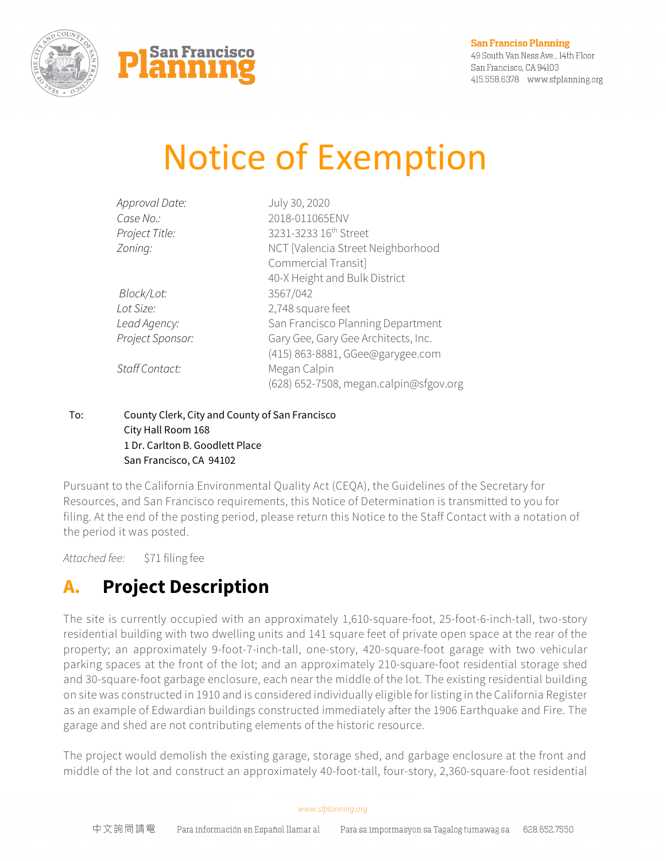



49 South Van Ness Ave., 14th Floor San Francisco, CA 94103 415.558.6378 www.sfplanning.org

# Notice of Exemption

| Approval Date:   | July 30, 2020                          |
|------------------|----------------------------------------|
| Case No.:        | 2018-011065ENV                         |
| Project Title:   | 3231-3233 16 <sup>th</sup> Street      |
| Zoning:          | NCT [Valencia Street Neighborhood      |
|                  | Commercial Transit]                    |
|                  | 40-X Height and Bulk District          |
| Block/Lot:       | 3567/042                               |
| Lot Size:        | 2,748 square feet                      |
| Lead Agency:     | San Francisco Planning Department      |
| Project Sponsor: | Gary Gee, Gary Gee Architects, Inc.    |
|                  | (415) 863-8881, GGee@garygee.com       |
| Staff Contact:   | Megan Calpin                           |
|                  | (628) 652-7508, megan.calpin@sfgov.org |
|                  |                                        |

### To: County Clerk, City and County of San Francisco City Hall Room 168 1 Dr. Carlton B. Goodlett Place San Francisco, CA 94102

Pursuant to the California Environmental Quality Act (CEQA), the Guidelines of the Secretary for Resources, and San Francisco requirements, this Notice of Determination is transmitted to you for filing. At the end of the posting period, please return this Notice to the Staff Contact with a notation of the period it was posted.

*Attached fee:* \$71 filing fee

## **A. Project Description**

The site is currently occupied with an approximately 1,610-square-foot, 25-foot-6-inch-tall, two-story residential building with two dwelling units and 141 square feet of private open space at the rear of the property; an approximately 9-foot-7-inch-tall, one-story, 420-square-foot garage with two vehicular parking spaces at the front of the lot; and an approximately 210-square-foot residential storage shed and 30-square-foot garbage enclosure, each near the middle of the lot. The existing residential building on site was constructed in 1910 and is considered individually eligible for listing in the California Register as an example of Edwardian buildings constructed immediately after the 1906 Earthquake and Fire. The garage and shed are not contributing elements of the historic resource.

The project would demolish the existing garage, storage shed, and garbage enclosure at the front and middle of the lot and construct an approximately 40-foot-tall, four-story, 2,360-square-foot residential